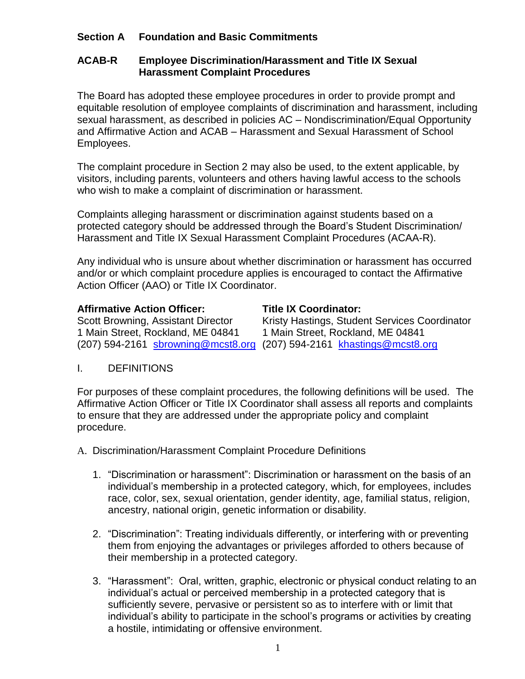# **Section A Foundation and Basic Commitments**

## **ACAB-R Employee Discrimination/Harassment and Title IX Sexual Harassment Complaint Procedures**

The Board has adopted these employee procedures in order to provide prompt and equitable resolution of employee complaints of discrimination and harassment, including sexual harassment, as described in policies AC – Nondiscrimination/Equal Opportunity and Affirmative Action and ACAB – Harassment and Sexual Harassment of School Employees.

The complaint procedure in Section 2 may also be used, to the extent applicable, by visitors, including parents, volunteers and others having lawful access to the schools who wish to make a complaint of discrimination or harassment.

Complaints alleging harassment or discrimination against students based on a protected category should be addressed through the Board's Student Discrimination/ Harassment and Title IX Sexual Harassment Complaint Procedures (ACAA-R).

Any individual who is unsure about whether discrimination or harassment has occurred and/or or which complaint procedure applies is encouraged to contact the Affirmative Action Officer (AAO) or Title IX Coordinator.

### **Affirmative Action Officer: Title IX Coordinator:**

1 Main Street, Rockland, ME 04841 1 Main Street, Rockland, ME 04841 (207) 594-2161 [sbrowning@mcst8.org](mailto:sbrowning@mcst8.org) (207) 594-2161 [khastings@mcst8.org](mailto:khastings@mcst8.org)

Scott Browning, Assistant Director Kristy Hastings, Student Services Coordinator

## I. DEFINITIONS

For purposes of these complaint procedures, the following definitions will be used. The Affirmative Action Officer or Title IX Coordinator shall assess all reports and complaints to ensure that they are addressed under the appropriate policy and complaint procedure.

- A. Discrimination/Harassment Complaint Procedure Definitions
	- 1. "Discrimination or harassment": Discrimination or harassment on the basis of an individual's membership in a protected category, which, for employees, includes race, color, sex, sexual orientation, gender identity, age, familial status, religion, ancestry, national origin, genetic information or disability.
	- 2. "Discrimination": Treating individuals differently, or interfering with or preventing them from enjoying the advantages or privileges afforded to others because of their membership in a protected category.
	- 3. "Harassment": Oral, written, graphic, electronic or physical conduct relating to an individual's actual or perceived membership in a protected category that is sufficiently severe, pervasive or persistent so as to interfere with or limit that individual's ability to participate in the school's programs or activities by creating a hostile, intimidating or offensive environment.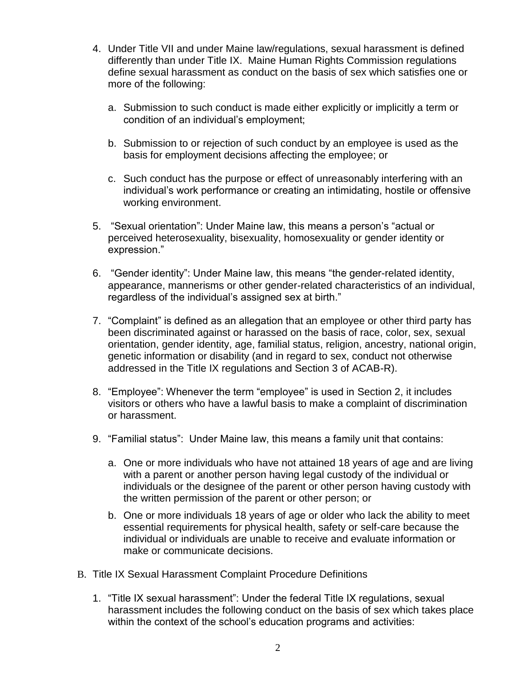- 4. Under Title VII and under Maine law/regulations, sexual harassment is defined differently than under Title IX. Maine Human Rights Commission regulations define sexual harassment as conduct on the basis of sex which satisfies one or more of the following:
	- a. Submission to such conduct is made either explicitly or implicitly a term or condition of an individual's employment;
	- b. Submission to or rejection of such conduct by an employee is used as the basis for employment decisions affecting the employee; or
	- c. Such conduct has the purpose or effect of unreasonably interfering with an individual's work performance or creating an intimidating, hostile or offensive working environment.
- 5. "Sexual orientation": Under Maine law, this means a person's "actual or perceived heterosexuality, bisexuality, homosexuality or gender identity or expression."
- 6. "Gender identity": Under Maine law, this means "the gender-related identity, appearance, mannerisms or other gender-related characteristics of an individual, regardless of the individual's assigned sex at birth."
- 7. "Complaint" is defined as an allegation that an employee or other third party has been discriminated against or harassed on the basis of race, color, sex, sexual orientation, gender identity, age, familial status, religion, ancestry, national origin, genetic information or disability (and in regard to sex, conduct not otherwise addressed in the Title IX regulations and Section 3 of ACAB-R).
- 8. "Employee": Whenever the term "employee" is used in Section 2, it includes visitors or others who have a lawful basis to make a complaint of discrimination or harassment.
- 9. "Familial status": Under Maine law, this means a family unit that contains:
	- a. One or more individuals who have not attained 18 years of age and are living with a parent or another person having legal custody of the individual or individuals or the designee of the parent or other person having custody with the written permission of the parent or other person; or
	- b. One or more individuals 18 years of age or older who lack the ability to meet essential requirements for physical health, safety or self-care because the individual or individuals are unable to receive and evaluate information or make or communicate decisions.
- B. Title IX Sexual Harassment Complaint Procedure Definitions
	- 1. "Title IX sexual harassment": Under the federal Title IX regulations, sexual harassment includes the following conduct on the basis of sex which takes place within the context of the school's education programs and activities: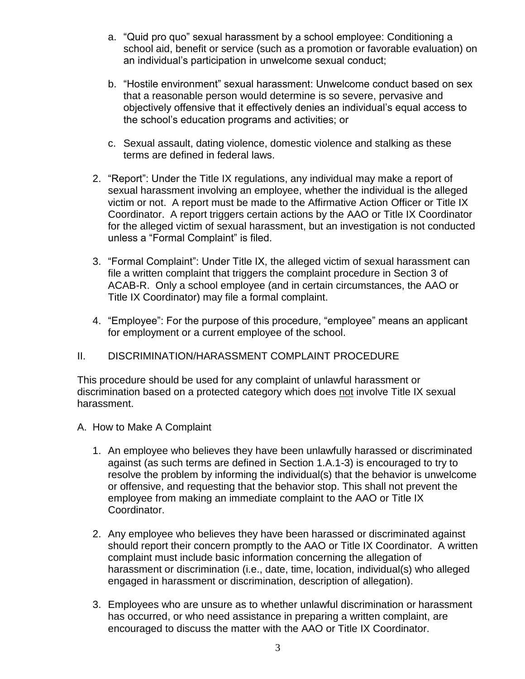- a. "Quid pro quo" sexual harassment by a school employee: Conditioning a school aid, benefit or service (such as a promotion or favorable evaluation) on an individual's participation in unwelcome sexual conduct;
- b. "Hostile environment" sexual harassment: Unwelcome conduct based on sex that a reasonable person would determine is so severe, pervasive and objectively offensive that it effectively denies an individual's equal access to the school's education programs and activities; or
- c. Sexual assault, dating violence, domestic violence and stalking as these terms are defined in federal laws.
- 2. "Report": Under the Title IX regulations, any individual may make a report of sexual harassment involving an employee, whether the individual is the alleged victim or not. A report must be made to the Affirmative Action Officer or Title IX Coordinator. A report triggers certain actions by the AAO or Title IX Coordinator for the alleged victim of sexual harassment, but an investigation is not conducted unless a "Formal Complaint" is filed.
- 3. "Formal Complaint": Under Title IX, the alleged victim of sexual harassment can file a written complaint that triggers the complaint procedure in Section 3 of ACAB-R. Only a school employee (and in certain circumstances, the AAO or Title IX Coordinator) may file a formal complaint.
- 4. "Employee": For the purpose of this procedure, "employee" means an applicant for employment or a current employee of the school.

## II. DISCRIMINATION/HARASSMENT COMPLAINT PROCEDURE

This procedure should be used for any complaint of unlawful harassment or discrimination based on a protected category which does not involve Title IX sexual harassment.

- A. How to Make A Complaint
	- 1. An employee who believes they have been unlawfully harassed or discriminated against (as such terms are defined in Section 1.A.1-3) is encouraged to try to resolve the problem by informing the individual(s) that the behavior is unwelcome or offensive, and requesting that the behavior stop. This shall not prevent the employee from making an immediate complaint to the AAO or Title IX Coordinator.
	- 2. Any employee who believes they have been harassed or discriminated against should report their concern promptly to the AAO or Title IX Coordinator. A written complaint must include basic information concerning the allegation of harassment or discrimination (i.e., date, time, location, individual(s) who alleged engaged in harassment or discrimination, description of allegation).
	- 3. Employees who are unsure as to whether unlawful discrimination or harassment has occurred, or who need assistance in preparing a written complaint, are encouraged to discuss the matter with the AAO or Title IX Coordinator.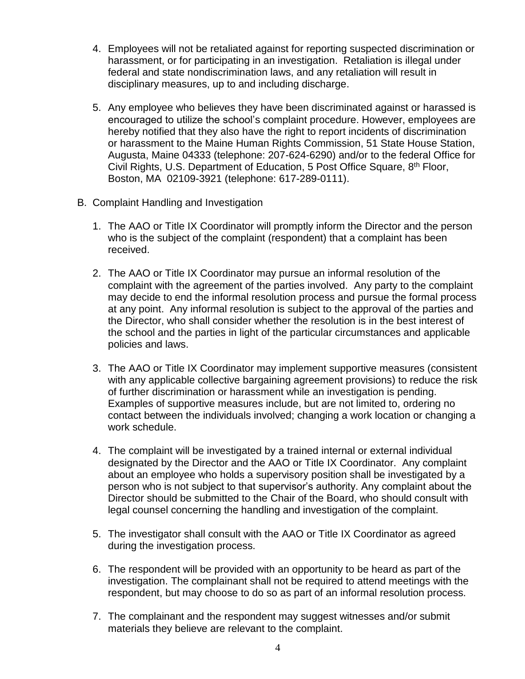- 4. Employees will not be retaliated against for reporting suspected discrimination or harassment, or for participating in an investigation. Retaliation is illegal under federal and state nondiscrimination laws, and any retaliation will result in disciplinary measures, up to and including discharge.
- 5. Any employee who believes they have been discriminated against or harassed is encouraged to utilize the school's complaint procedure. However, employees are hereby notified that they also have the right to report incidents of discrimination or harassment to the Maine Human Rights Commission, 51 State House Station, Augusta, Maine 04333 (telephone: 207-624-6290) and/or to the federal Office for Civil Rights, U.S. Department of Education, 5 Post Office Square, 8th Floor, Boston, MA 02109-3921 (telephone: 617-289-0111).
- B. Complaint Handling and Investigation
	- 1. The AAO or Title IX Coordinator will promptly inform the Director and the person who is the subject of the complaint (respondent) that a complaint has been received.
	- 2. The AAO or Title IX Coordinator may pursue an informal resolution of the complaint with the agreement of the parties involved. Any party to the complaint may decide to end the informal resolution process and pursue the formal process at any point. Any informal resolution is subject to the approval of the parties and the Director, who shall consider whether the resolution is in the best interest of the school and the parties in light of the particular circumstances and applicable policies and laws.
	- 3. The AAO or Title IX Coordinator may implement supportive measures (consistent with any applicable collective bargaining agreement provisions) to reduce the risk of further discrimination or harassment while an investigation is pending. Examples of supportive measures include, but are not limited to, ordering no contact between the individuals involved; changing a work location or changing a work schedule.
	- 4. The complaint will be investigated by a trained internal or external individual designated by the Director and the AAO or Title IX Coordinator. Any complaint about an employee who holds a supervisory position shall be investigated by a person who is not subject to that supervisor's authority. Any complaint about the Director should be submitted to the Chair of the Board, who should consult with legal counsel concerning the handling and investigation of the complaint.
	- 5. The investigator shall consult with the AAO or Title IX Coordinator as agreed during the investigation process.
	- 6. The respondent will be provided with an opportunity to be heard as part of the investigation. The complainant shall not be required to attend meetings with the respondent, but may choose to do so as part of an informal resolution process.
	- 7. The complainant and the respondent may suggest witnesses and/or submit materials they believe are relevant to the complaint.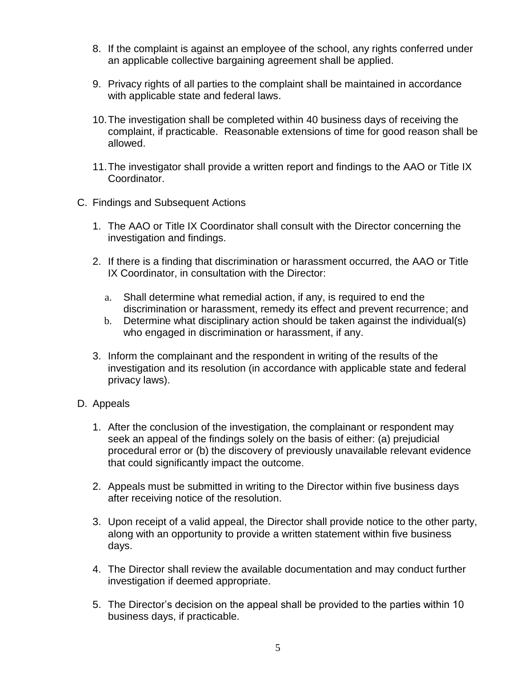- 8. If the complaint is against an employee of the school, any rights conferred under an applicable collective bargaining agreement shall be applied.
- 9. Privacy rights of all parties to the complaint shall be maintained in accordance with applicable state and federal laws.
- 10.The investigation shall be completed within 40 business days of receiving the complaint, if practicable. Reasonable extensions of time for good reason shall be allowed.
- 11.The investigator shall provide a written report and findings to the AAO or Title IX Coordinator.
- C. Findings and Subsequent Actions
	- 1. The AAO or Title IX Coordinator shall consult with the Director concerning the investigation and findings.
	- 2. If there is a finding that discrimination or harassment occurred, the AAO or Title IX Coordinator, in consultation with the Director:
		- a. Shall determine what remedial action, if any, is required to end the discrimination or harassment, remedy its effect and prevent recurrence; and
		- b. Determine what disciplinary action should be taken against the individual(s) who engaged in discrimination or harassment, if any.
	- 3. Inform the complainant and the respondent in writing of the results of the investigation and its resolution (in accordance with applicable state and federal privacy laws).
- D. Appeals
	- 1. After the conclusion of the investigation, the complainant or respondent may seek an appeal of the findings solely on the basis of either: (a) prejudicial procedural error or (b) the discovery of previously unavailable relevant evidence that could significantly impact the outcome.
	- 2. Appeals must be submitted in writing to the Director within five business days after receiving notice of the resolution.
	- 3. Upon receipt of a valid appeal, the Director shall provide notice to the other party, along with an opportunity to provide a written statement within five business days.
	- 4. The Director shall review the available documentation and may conduct further investigation if deemed appropriate.
	- 5. The Director's decision on the appeal shall be provided to the parties within 10 business days, if practicable.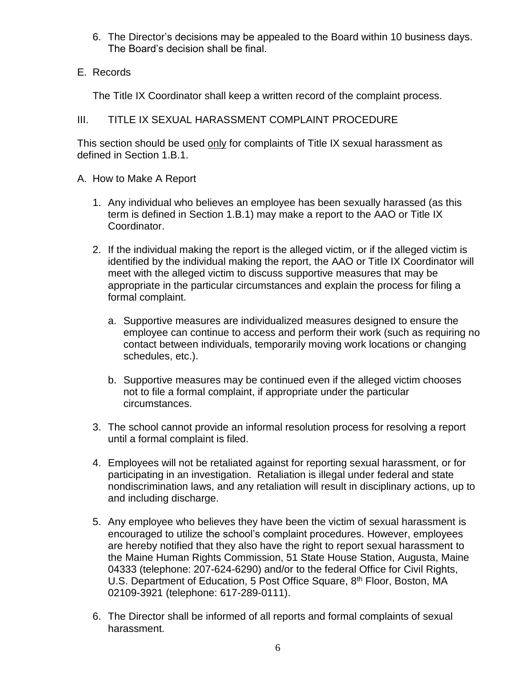- 6. The Director's decisions may be appealed to the Board within 10 business days. The Board's decision shall be final.
- E. Records

The Title IX Coordinator shall keep a written record of the complaint process.

## III. TITLE IX SEXUAL HARASSMENT COMPLAINT PROCEDURE

This section should be used only for complaints of Title IX sexual harassment as defined in Section 1.B.1.

- A. How to Make A Report
	- 1. Any individual who believes an employee has been sexually harassed (as this term is defined in Section 1.B.1) may make a report to the AAO or Title IX Coordinator.
	- 2. If the individual making the report is the alleged victim, or if the alleged victim is identified by the individual making the report, the AAO or Title IX Coordinator will meet with the alleged victim to discuss supportive measures that may be appropriate in the particular circumstances and explain the process for filing a formal complaint.
		- a. Supportive measures are individualized measures designed to ensure the employee can continue to access and perform their work (such as requiring no contact between individuals, temporarily moving work locations or changing schedules, etc.).
		- b. Supportive measures may be continued even if the alleged victim chooses not to file a formal complaint, if appropriate under the particular circumstances.
	- 3. The school cannot provide an informal resolution process for resolving a report until a formal complaint is filed.
	- 4. Employees will not be retaliated against for reporting sexual harassment, or for participating in an investigation. Retaliation is illegal under federal and state nondiscrimination laws, and any retaliation will result in disciplinary actions, up to and including discharge.
	- 5. Any employee who believes they have been the victim of sexual harassment is encouraged to utilize the school's complaint procedures. However, employees are hereby notified that they also have the right to report sexual harassment to the Maine Human Rights Commission, 51 State House Station, Augusta, Maine 04333 (telephone: 207-624-6290) and/or to the federal Office for Civil Rights, U.S. Department of Education, 5 Post Office Square, 8<sup>th</sup> Floor, Boston, MA 02109-3921 (telephone: 617-289-0111).
	- 6. The Director shall be informed of all reports and formal complaints of sexual harassment.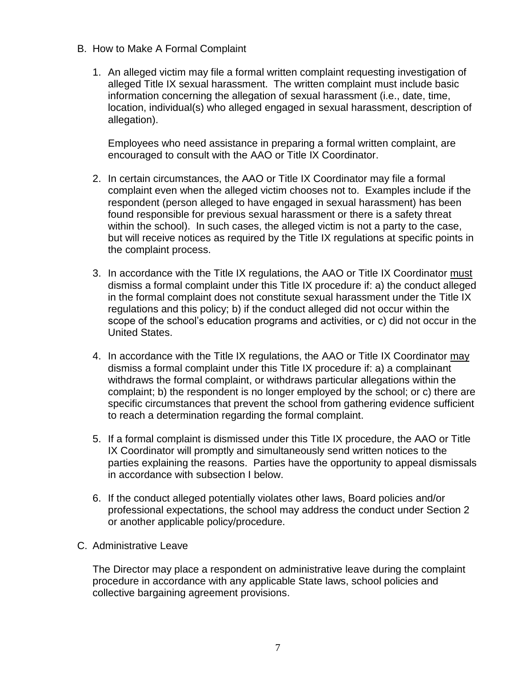- B. How to Make A Formal Complaint
	- 1. An alleged victim may file a formal written complaint requesting investigation of alleged Title IX sexual harassment. The written complaint must include basic information concerning the allegation of sexual harassment (i.e., date, time, location, individual(s) who alleged engaged in sexual harassment, description of allegation).

Employees who need assistance in preparing a formal written complaint, are encouraged to consult with the AAO or Title IX Coordinator.

- 2. In certain circumstances, the AAO or Title IX Coordinator may file a formal complaint even when the alleged victim chooses not to. Examples include if the respondent (person alleged to have engaged in sexual harassment) has been found responsible for previous sexual harassment or there is a safety threat within the school). In such cases, the alleged victim is not a party to the case, but will receive notices as required by the Title IX regulations at specific points in the complaint process.
- 3. In accordance with the Title IX regulations, the AAO or Title IX Coordinator must dismiss a formal complaint under this Title IX procedure if: a) the conduct alleged in the formal complaint does not constitute sexual harassment under the Title IX regulations and this policy; b) if the conduct alleged did not occur within the scope of the school's education programs and activities, or c) did not occur in the United States.
- 4. In accordance with the Title IX regulations, the AAO or Title IX Coordinator may dismiss a formal complaint under this Title IX procedure if: a) a complainant withdraws the formal complaint, or withdraws particular allegations within the complaint; b) the respondent is no longer employed by the school; or c) there are specific circumstances that prevent the school from gathering evidence sufficient to reach a determination regarding the formal complaint.
- 5. If a formal complaint is dismissed under this Title IX procedure, the AAO or Title IX Coordinator will promptly and simultaneously send written notices to the parties explaining the reasons. Parties have the opportunity to appeal dismissals in accordance with subsection I below.
- 6. If the conduct alleged potentially violates other laws, Board policies and/or professional expectations, the school may address the conduct under Section 2 or another applicable policy/procedure.
- C. Administrative Leave

The Director may place a respondent on administrative leave during the complaint procedure in accordance with any applicable State laws, school policies and collective bargaining agreement provisions.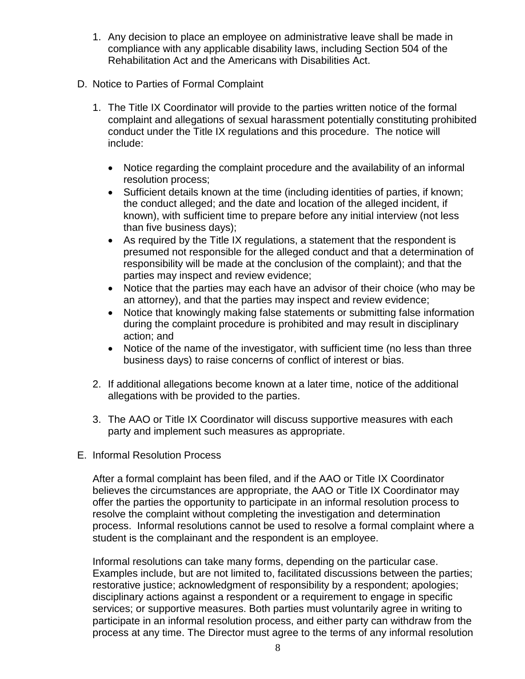- 1. Any decision to place an employee on administrative leave shall be made in compliance with any applicable disability laws, including Section 504 of the Rehabilitation Act and the Americans with Disabilities Act.
- D. Notice to Parties of Formal Complaint
	- 1. The Title IX Coordinator will provide to the parties written notice of the formal complaint and allegations of sexual harassment potentially constituting prohibited conduct under the Title IX regulations and this procedure. The notice will include:
		- Notice regarding the complaint procedure and the availability of an informal resolution process;
		- Sufficient details known at the time (including identities of parties, if known; the conduct alleged; and the date and location of the alleged incident, if known), with sufficient time to prepare before any initial interview (not less than five business days);
		- As required by the Title IX regulations, a statement that the respondent is presumed not responsible for the alleged conduct and that a determination of responsibility will be made at the conclusion of the complaint); and that the parties may inspect and review evidence;
		- Notice that the parties may each have an advisor of their choice (who may be an attorney), and that the parties may inspect and review evidence;
		- Notice that knowingly making false statements or submitting false information during the complaint procedure is prohibited and may result in disciplinary action; and
		- Notice of the name of the investigator, with sufficient time (no less than three business days) to raise concerns of conflict of interest or bias.
	- 2. If additional allegations become known at a later time, notice of the additional allegations with be provided to the parties.
	- 3. The AAO or Title IX Coordinator will discuss supportive measures with each party and implement such measures as appropriate.
- E. Informal Resolution Process

After a formal complaint has been filed, and if the AAO or Title IX Coordinator believes the circumstances are appropriate, the AAO or Title IX Coordinator may offer the parties the opportunity to participate in an informal resolution process to resolve the complaint without completing the investigation and determination process. Informal resolutions cannot be used to resolve a formal complaint where a student is the complainant and the respondent is an employee.

Informal resolutions can take many forms, depending on the particular case. Examples include, but are not limited to, facilitated discussions between the parties; restorative justice; acknowledgment of responsibility by a respondent; apologies; disciplinary actions against a respondent or a requirement to engage in specific services; or supportive measures. Both parties must voluntarily agree in writing to participate in an informal resolution process, and either party can withdraw from the process at any time. The Director must agree to the terms of any informal resolution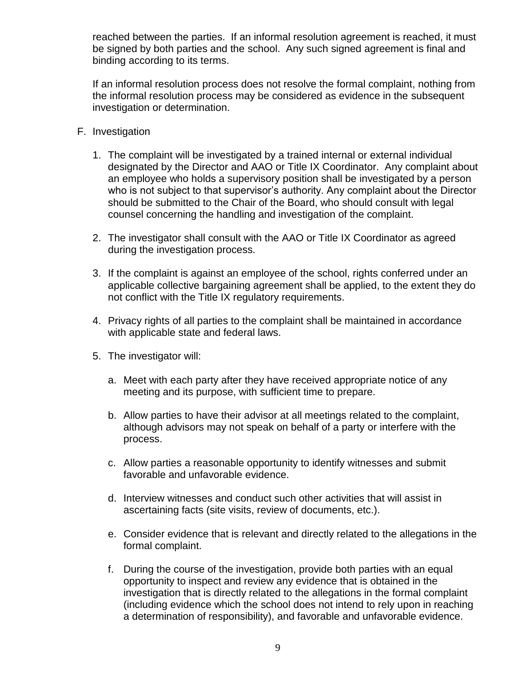reached between the parties. If an informal resolution agreement is reached, it must be signed by both parties and the school. Any such signed agreement is final and binding according to its terms.

If an informal resolution process does not resolve the formal complaint, nothing from the informal resolution process may be considered as evidence in the subsequent investigation or determination.

- F. Investigation
	- 1. The complaint will be investigated by a trained internal or external individual designated by the Director and AAO or Title IX Coordinator. Any complaint about an employee who holds a supervisory position shall be investigated by a person who is not subject to that supervisor's authority. Any complaint about the Director should be submitted to the Chair of the Board, who should consult with legal counsel concerning the handling and investigation of the complaint.
	- 2. The investigator shall consult with the AAO or Title IX Coordinator as agreed during the investigation process.
	- 3. If the complaint is against an employee of the school, rights conferred under an applicable collective bargaining agreement shall be applied, to the extent they do not conflict with the Title IX regulatory requirements.
	- 4. Privacy rights of all parties to the complaint shall be maintained in accordance with applicable state and federal laws.
	- 5. The investigator will:
		- a. Meet with each party after they have received appropriate notice of any meeting and its purpose, with sufficient time to prepare.
		- b. Allow parties to have their advisor at all meetings related to the complaint, although advisors may not speak on behalf of a party or interfere with the process.
		- c. Allow parties a reasonable opportunity to identify witnesses and submit favorable and unfavorable evidence.
		- d. Interview witnesses and conduct such other activities that will assist in ascertaining facts (site visits, review of documents, etc.).
		- e. Consider evidence that is relevant and directly related to the allegations in the formal complaint.
		- f. During the course of the investigation, provide both parties with an equal opportunity to inspect and review any evidence that is obtained in the investigation that is directly related to the allegations in the formal complaint (including evidence which the school does not intend to rely upon in reaching a determination of responsibility), and favorable and unfavorable evidence.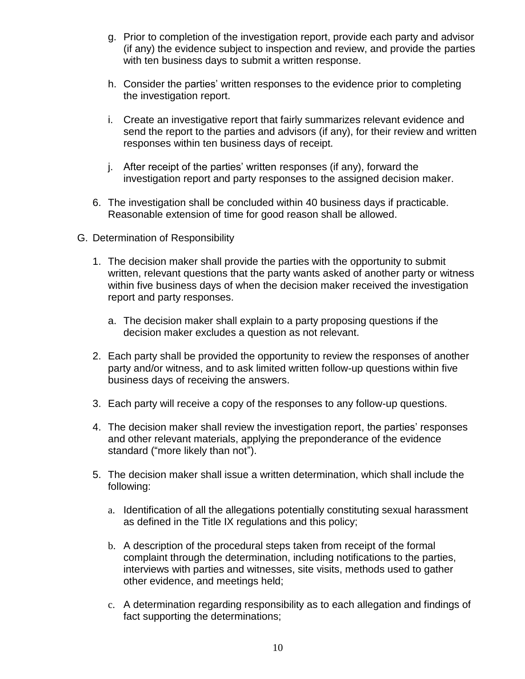- g. Prior to completion of the investigation report, provide each party and advisor (if any) the evidence subject to inspection and review, and provide the parties with ten business days to submit a written response.
- h. Consider the parties' written responses to the evidence prior to completing the investigation report.
- i. Create an investigative report that fairly summarizes relevant evidence and send the report to the parties and advisors (if any), for their review and written responses within ten business days of receipt.
- j. After receipt of the parties' written responses (if any), forward the investigation report and party responses to the assigned decision maker.
- 6. The investigation shall be concluded within 40 business days if practicable. Reasonable extension of time for good reason shall be allowed.
- G. Determination of Responsibility
	- 1. The decision maker shall provide the parties with the opportunity to submit written, relevant questions that the party wants asked of another party or witness within five business days of when the decision maker received the investigation report and party responses.
		- a. The decision maker shall explain to a party proposing questions if the decision maker excludes a question as not relevant.
	- 2. Each party shall be provided the opportunity to review the responses of another party and/or witness, and to ask limited written follow-up questions within five business days of receiving the answers.
	- 3. Each party will receive a copy of the responses to any follow-up questions.
	- 4. The decision maker shall review the investigation report, the parties' responses and other relevant materials, applying the preponderance of the evidence standard ("more likely than not").
	- 5. The decision maker shall issue a written determination, which shall include the following:
		- a. Identification of all the allegations potentially constituting sexual harassment as defined in the Title IX regulations and this policy;
		- b. A description of the procedural steps taken from receipt of the formal complaint through the determination, including notifications to the parties, interviews with parties and witnesses, site visits, methods used to gather other evidence, and meetings held;
		- c. A determination regarding responsibility as to each allegation and findings of fact supporting the determinations;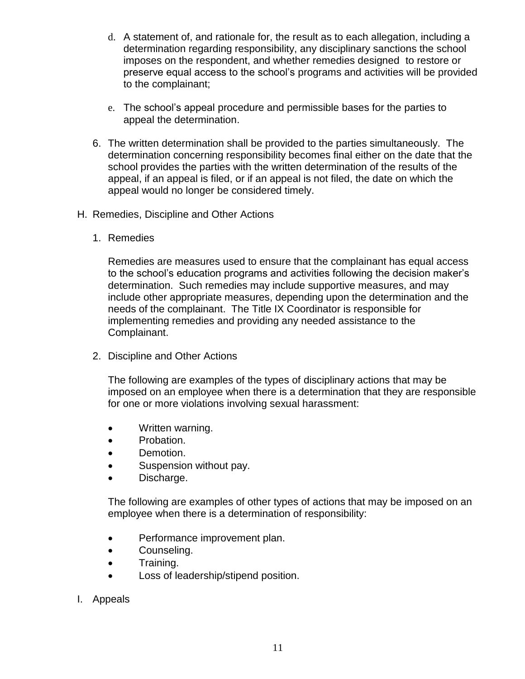- d. A statement of, and rationale for, the result as to each allegation, including a determination regarding responsibility, any disciplinary sanctions the school imposes on the respondent, and whether remedies designed to restore or preserve equal access to the school's programs and activities will be provided to the complainant;
- e. The school's appeal procedure and permissible bases for the parties to appeal the determination.
- 6. The written determination shall be provided to the parties simultaneously. The determination concerning responsibility becomes final either on the date that the school provides the parties with the written determination of the results of the appeal, if an appeal is filed, or if an appeal is not filed, the date on which the appeal would no longer be considered timely.
- H. Remedies, Discipline and Other Actions
	- 1. Remedies

Remedies are measures used to ensure that the complainant has equal access to the school's education programs and activities following the decision maker's determination. Such remedies may include supportive measures, and may include other appropriate measures, depending upon the determination and the needs of the complainant. The Title IX Coordinator is responsible for implementing remedies and providing any needed assistance to the Complainant.

2. Discipline and Other Actions

The following are examples of the types of disciplinary actions that may be imposed on an employee when there is a determination that they are responsible for one or more violations involving sexual harassment:

- Written warning.
- Probation.
- Demotion.
- Suspension without pay.
- Discharge.

The following are examples of other types of actions that may be imposed on an employee when there is a determination of responsibility:

- Performance improvement plan.
- **•** Counseling.
- Training.
- Loss of leadership/stipend position.
- I. Appeals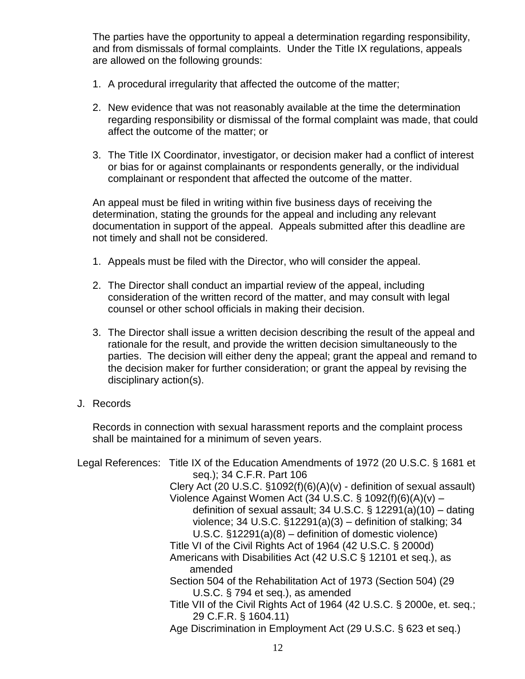The parties have the opportunity to appeal a determination regarding responsibility, and from dismissals of formal complaints. Under the Title IX regulations, appeals are allowed on the following grounds:

- 1. A procedural irregularity that affected the outcome of the matter;
- 2. New evidence that was not reasonably available at the time the determination regarding responsibility or dismissal of the formal complaint was made, that could affect the outcome of the matter; or
- 3. The Title IX Coordinator, investigator, or decision maker had a conflict of interest or bias for or against complainants or respondents generally, or the individual complainant or respondent that affected the outcome of the matter.

An appeal must be filed in writing within five business days of receiving the determination, stating the grounds for the appeal and including any relevant documentation in support of the appeal. Appeals submitted after this deadline are not timely and shall not be considered.

- 1. Appeals must be filed with the Director, who will consider the appeal.
- 2. The Director shall conduct an impartial review of the appeal, including consideration of the written record of the matter, and may consult with legal counsel or other school officials in making their decision.
- 3. The Director shall issue a written decision describing the result of the appeal and rationale for the result, and provide the written decision simultaneously to the parties. The decision will either deny the appeal; grant the appeal and remand to the decision maker for further consideration; or grant the appeal by revising the disciplinary action(s).
- J. Records

Records in connection with sexual harassment reports and the complaint process shall be maintained for a minimum of seven years.

|  | Legal References: Title IX of the Education Amendments of 1972 (20 U.S.C. § 1681 et             |
|--|-------------------------------------------------------------------------------------------------|
|  | seq.); 34 C.F.R. Part 106                                                                       |
|  | Clery Act (20 U.S.C. $\S1092(f)(6)(A)(v)$ - definition of sexual assault)                       |
|  | Violence Against Women Act (34 U.S.C. § 1092(f)(6)(A)(v) –                                      |
|  | definition of sexual assault; 34 U.S.C. $\S$ 12291(a)(10) – dating                              |
|  | violence; 34 U.S.C. $\S$ 12291(a)(3) – definition of stalking; 34                               |
|  | U.S.C. $\S$ 12291(a)(8) – definition of domestic violence)                                      |
|  | Title VI of the Civil Rights Act of 1964 (42 U.S.C. § 2000d)                                    |
|  | Americans with Disabilities Act (42 U.S.C § 12101 et seq.), as                                  |
|  | amended                                                                                         |
|  | Section 504 of the Rehabilitation Act of 1973 (Section 504) (29                                 |
|  | U.S.C. $\S$ 794 et seq.), as amended                                                            |
|  | Title VII of the Civil Rights Act of 1964 (42 U.S.C. § 2000e, et. seq.;<br>29 C.F.R. § 1604.11) |
|  | Age Discrimination in Employment Act (29 U.S.C. § 623 et seq.)                                  |
|  |                                                                                                 |